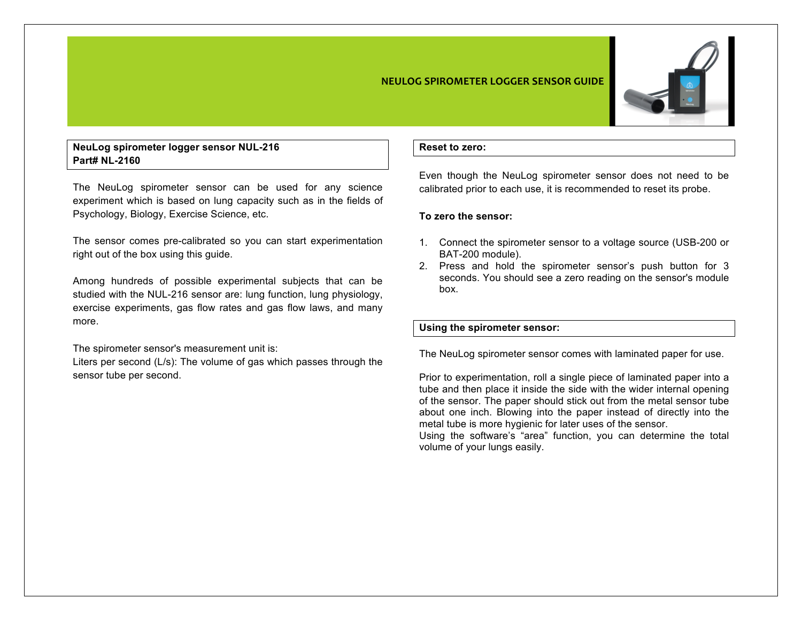#### **NEULOG SPIROMETER LOGGER SENSOR GUIDE**



# **NeuLog spirometer logger sensor NUL-216 Part# NL-2160**

The NeuLog spirometer sensor can be used for any science experiment which is based on lung capacity such as in the fields of Psychology, Biology, Exercise Science, etc.

The sensor comes pre-calibrated so you can start experimentation right out of the box using this guide.

Among hundreds of possible experimental subjects that can be studied with the NUL-216 sensor are: lung function, lung physiology, exercise experiments, gas flow rates and gas flow laws, and many more.

The spirometer sensor's measurement unit is:

Liters per second (L/s): The volume of gas which passes through the sensor tube per second.

#### **Reset to zero:**

Even though the NeuLog spirometer sensor does not need to be calibrated prior to each use, it is recommended to reset its probe.

### **To zero the sensor:**

- 1. Connect the spirometer sensor to a voltage source (USB-200 or BAT-200 module).
- 2. Press and hold the spirometer sensor's push button for 3 seconds. You should see a zero reading on the sensor's module box.

## **Using the spirometer sensor:**

The NeuLog spirometer sensor comes with laminated paper for use.

Prior to experimentation, roll a single piece of laminated paper into a tube and then place it inside the side with the wider internal opening of the sensor. The paper should stick out from the metal sensor tube about one inch. Blowing into the paper instead of directly into the metal tube is more hygienic for later uses of the sensor.

Using the software's "area" function, you can determine the total volume of your lungs easily.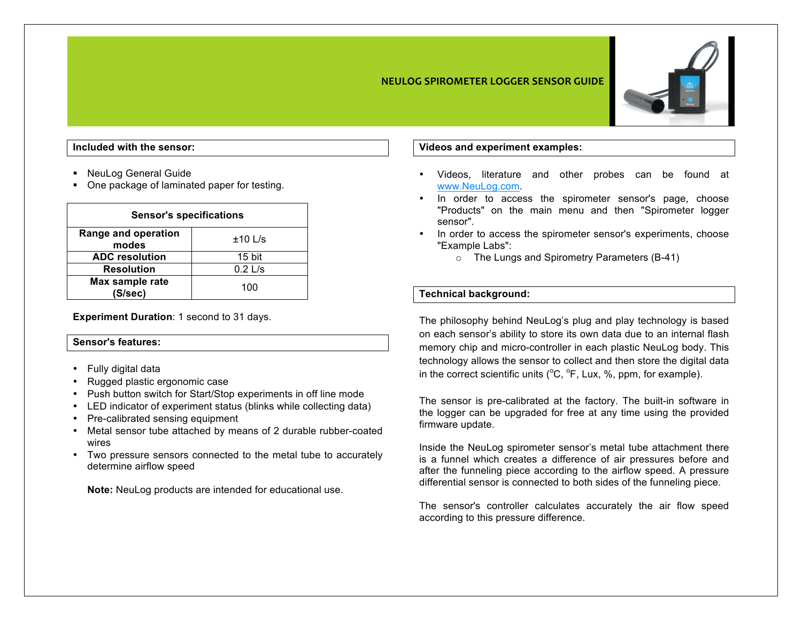### **NEULOG SPIROMETER LOGGER SENSOR GUIDE**



## **Included with the sensor:**

- NeuLog General Guide
- One package of laminated paper for testing.

| <b>Sensor's specifications</b> |           |
|--------------------------------|-----------|
| Range and operation<br>modes   | $±10$ L/s |
| <b>ADC</b> resolution          | 15 bit    |
| <b>Resolution</b>              | $0.2$ L/s |
| Max sample rate<br>(S/sec)     | 100       |

**Experiment Duration**: 1 second to 31 days.

### **Sensor's features:**

- Fully digital data
- Rugged plastic ergonomic case
- Push button switch for Start/Stop experiments in off line mode
- LED indicator of experiment status (blinks while collecting data)
- Pre-calibrated sensing equipment
- Metal sensor tube attached by means of 2 durable rubber-coated wires
- Two pressure sensors connected to the metal tube to accurately determine airflow speed

**Note:** NeuLog products are intended for educational use.

### **Videos and experiment examples:**

- Videos, literature and other probes can be found at www.NeuLog.com.
- In order to access the spirometer sensor's page, choose "Products" on the main menu and then "Spirometer logger sensor".
- In order to access the spirometer sensor's experiments, choose "Example Labs":
	- o The Lungs and Spirometry Parameters (B-41)

## **Technical background:**

The philosophy behind NeuLog's plug and play technology is based on each sensor's ability to store its own data due to an internal flash memory chip and micro-controller in each plastic NeuLog body. This technology allows the sensor to collect and then store the digital data in the correct scientific units  $(^{\circ}C, ^{\circ}F,$  Lux, %, ppm, for example).

The sensor is pre-calibrated at the factory. The built-in software in the logger can be upgraded for free at any time using the provided firmware update.

Inside the NeuLog spirometer sensor's metal tube attachment there is a funnel which creates a difference of air pressures before and after the funneling piece according to the airflow speed. A pressure differential sensor is connected to both sides of the funneling piece.

The sensor's controller calculates accurately the air flow speed according to this pressure difference.